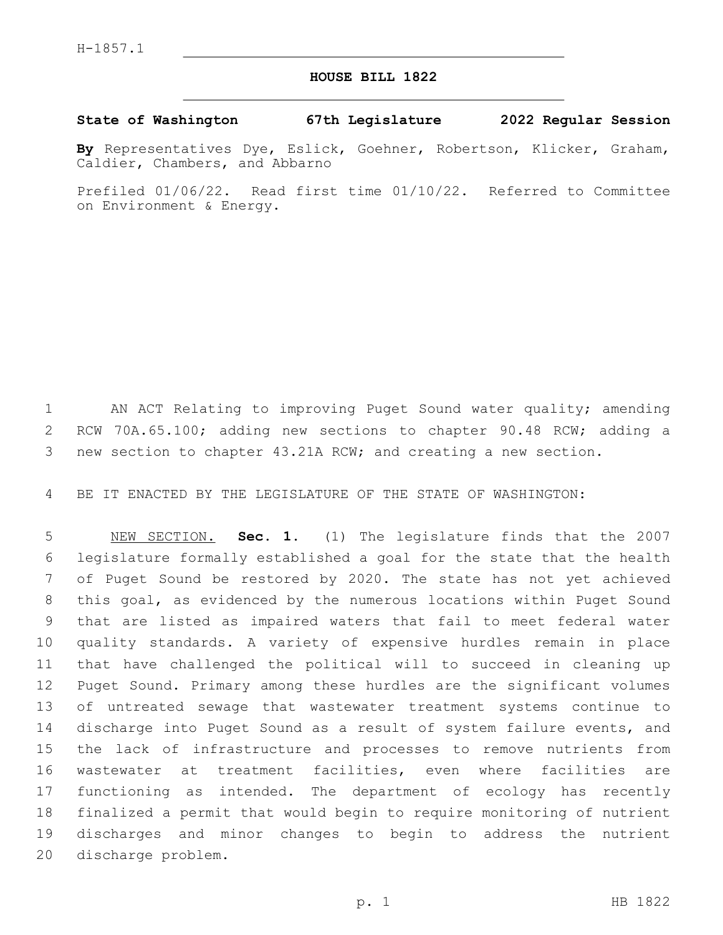## **HOUSE BILL 1822**

## **State of Washington 67th Legislature 2022 Regular Session**

**By** Representatives Dye, Eslick, Goehner, Robertson, Klicker, Graham, Caldier, Chambers, and Abbarno

Prefiled 01/06/22. Read first time 01/10/22. Referred to Committee on Environment & Energy.

1 AN ACT Relating to improving Puget Sound water quality; amending RCW 70A.65.100; adding new sections to chapter 90.48 RCW; adding a new section to chapter 43.21A RCW; and creating a new section.

BE IT ENACTED BY THE LEGISLATURE OF THE STATE OF WASHINGTON:

 NEW SECTION. **Sec. 1.** (1) The legislature finds that the 2007 legislature formally established a goal for the state that the health of Puget Sound be restored by 2020. The state has not yet achieved this goal, as evidenced by the numerous locations within Puget Sound that are listed as impaired waters that fail to meet federal water quality standards. A variety of expensive hurdles remain in place that have challenged the political will to succeed in cleaning up Puget Sound. Primary among these hurdles are the significant volumes of untreated sewage that wastewater treatment systems continue to discharge into Puget Sound as a result of system failure events, and the lack of infrastructure and processes to remove nutrients from wastewater at treatment facilities, even where facilities are functioning as intended. The department of ecology has recently finalized a permit that would begin to require monitoring of nutrient discharges and minor changes to begin to address the nutrient discharge problem.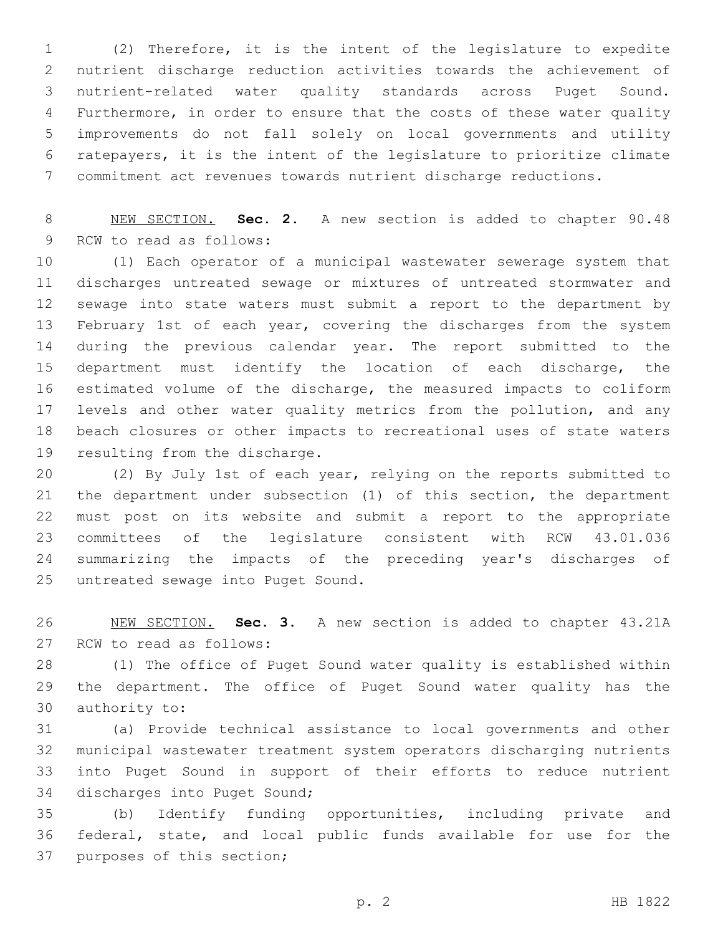(2) Therefore, it is the intent of the legislature to expedite nutrient discharge reduction activities towards the achievement of nutrient-related water quality standards across Puget Sound. Furthermore, in order to ensure that the costs of these water quality improvements do not fall solely on local governments and utility ratepayers, it is the intent of the legislature to prioritize climate commitment act revenues towards nutrient discharge reductions.

 NEW SECTION. **Sec. 2.** A new section is added to chapter 90.48 9 RCW to read as follows:

 (1) Each operator of a municipal wastewater sewerage system that discharges untreated sewage or mixtures of untreated stormwater and sewage into state waters must submit a report to the department by 13 February 1st of each year, covering the discharges from the system during the previous calendar year. The report submitted to the department must identify the location of each discharge, the estimated volume of the discharge, the measured impacts to coliform levels and other water quality metrics from the pollution, and any beach closures or other impacts to recreational uses of state waters 19 resulting from the discharge.

 (2) By July 1st of each year, relying on the reports submitted to the department under subsection (1) of this section, the department must post on its website and submit a report to the appropriate committees of the legislature consistent with RCW 43.01.036 summarizing the impacts of the preceding year's discharges of 25 untreated sewage into Puget Sound.

 NEW SECTION. **Sec. 3.** A new section is added to chapter 43.21A 27 RCW to read as follows:

 (1) The office of Puget Sound water quality is established within the department. The office of Puget Sound water quality has the 30 authority to:

 (a) Provide technical assistance to local governments and other municipal wastewater treatment system operators discharging nutrients into Puget Sound in support of their efforts to reduce nutrient 34 discharges into Puget Sound;

 (b) Identify funding opportunities, including private and federal, state, and local public funds available for use for the 37 purposes of this section;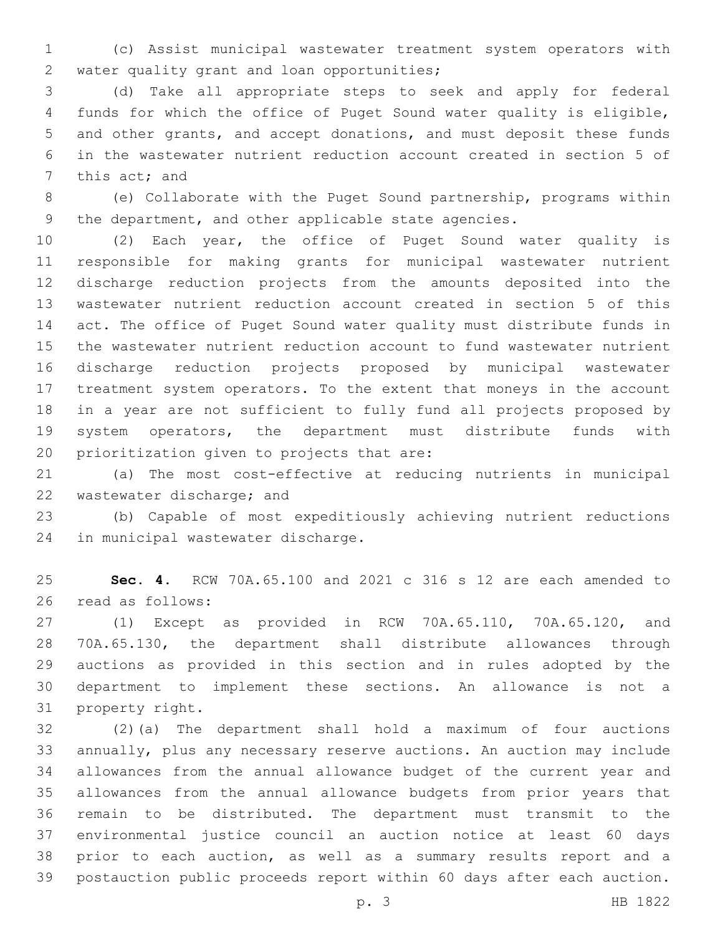(c) Assist municipal wastewater treatment system operators with 2 water quality grant and loan opportunities;

 (d) Take all appropriate steps to seek and apply for federal funds for which the office of Puget Sound water quality is eligible, and other grants, and accept donations, and must deposit these funds in the wastewater nutrient reduction account created in section 5 of 7 this act; and

 (e) Collaborate with the Puget Sound partnership, programs within the department, and other applicable state agencies.

 (2) Each year, the office of Puget Sound water quality is responsible for making grants for municipal wastewater nutrient discharge reduction projects from the amounts deposited into the wastewater nutrient reduction account created in section 5 of this act. The office of Puget Sound water quality must distribute funds in the wastewater nutrient reduction account to fund wastewater nutrient discharge reduction projects proposed by municipal wastewater treatment system operators. To the extent that moneys in the account in a year are not sufficient to fully fund all projects proposed by system operators, the department must distribute funds with 20 prioritization given to projects that are:

 (a) The most cost-effective at reducing nutrients in municipal 22 wastewater discharge; and

 (b) Capable of most expeditiously achieving nutrient reductions 24 in municipal wastewater discharge.

 **Sec. 4.** RCW 70A.65.100 and 2021 c 316 s 12 are each amended to 26 read as follows:

 (1) Except as provided in RCW 70A.65.110, 70A.65.120, and 70A.65.130, the department shall distribute allowances through auctions as provided in this section and in rules adopted by the department to implement these sections. An allowance is not a 31 property right.

 (2)(a) The department shall hold a maximum of four auctions annually, plus any necessary reserve auctions. An auction may include allowances from the annual allowance budget of the current year and allowances from the annual allowance budgets from prior years that remain to be distributed. The department must transmit to the environmental justice council an auction notice at least 60 days prior to each auction, as well as a summary results report and a postauction public proceeds report within 60 days after each auction.

p. 3 HB 1822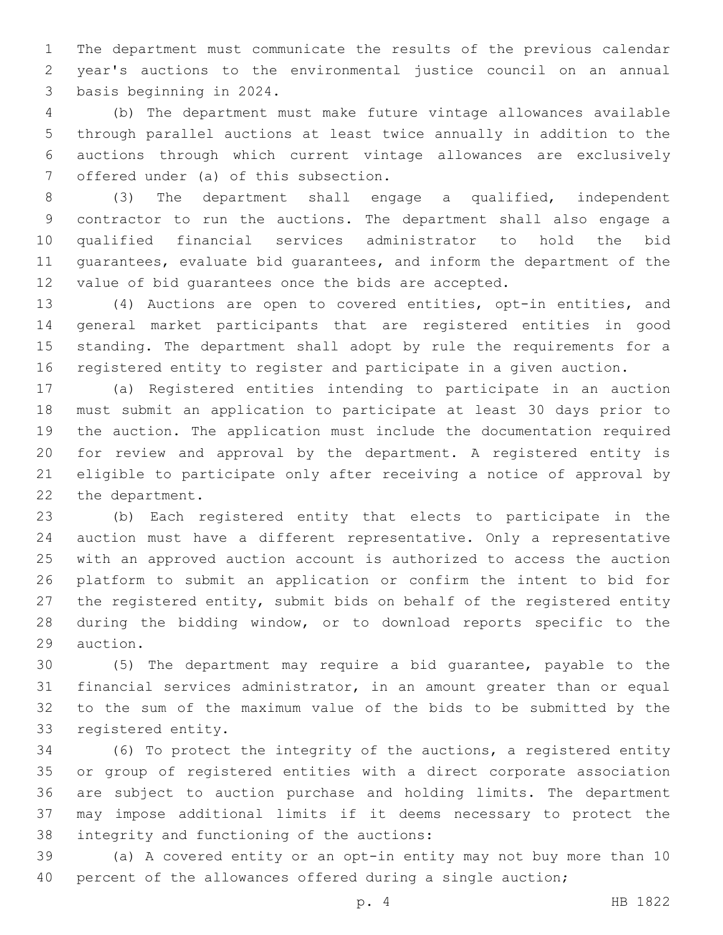The department must communicate the results of the previous calendar year's auctions to the environmental justice council on an annual 3 basis beginning in 2024.

 (b) The department must make future vintage allowances available through parallel auctions at least twice annually in addition to the auctions through which current vintage allowances are exclusively 7 offered under (a) of this subsection.

 (3) The department shall engage a qualified, independent contractor to run the auctions. The department shall also engage a qualified financial services administrator to hold the bid guarantees, evaluate bid guarantees, and inform the department of the value of bid guarantees once the bids are accepted.

 (4) Auctions are open to covered entities, opt-in entities, and general market participants that are registered entities in good standing. The department shall adopt by rule the requirements for a registered entity to register and participate in a given auction.

 (a) Registered entities intending to participate in an auction must submit an application to participate at least 30 days prior to the auction. The application must include the documentation required for review and approval by the department. A registered entity is eligible to participate only after receiving a notice of approval by 22 the department.

 (b) Each registered entity that elects to participate in the auction must have a different representative. Only a representative with an approved auction account is authorized to access the auction platform to submit an application or confirm the intent to bid for the registered entity, submit bids on behalf of the registered entity during the bidding window, or to download reports specific to the 29 auction.

 (5) The department may require a bid guarantee, payable to the financial services administrator, in an amount greater than or equal to the sum of the maximum value of the bids to be submitted by the 33 registered entity.

 (6) To protect the integrity of the auctions, a registered entity or group of registered entities with a direct corporate association are subject to auction purchase and holding limits. The department may impose additional limits if it deems necessary to protect the 38 integrity and functioning of the auctions:

 (a) A covered entity or an opt-in entity may not buy more than 10 40 percent of the allowances offered during a single auction;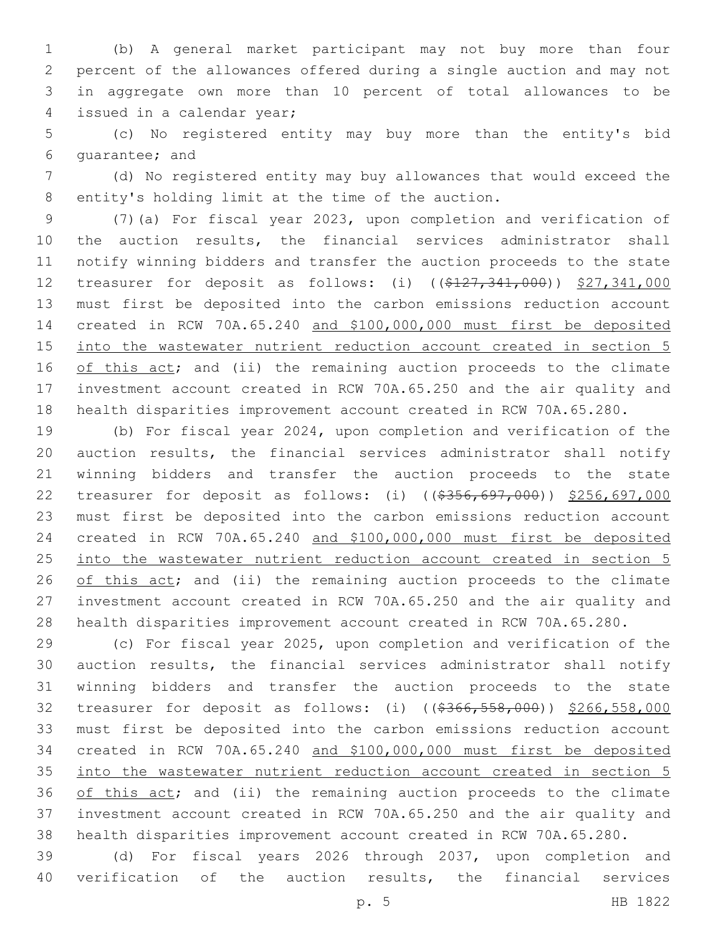(b) A general market participant may not buy more than four percent of the allowances offered during a single auction and may not in aggregate own more than 10 percent of total allowances to be 4 issued in a calendar year;

 (c) No registered entity may buy more than the entity's bid 6 quarantee; and

 (d) No registered entity may buy allowances that would exceed the 8 entity's holding limit at the time of the auction.

 (7)(a) For fiscal year 2023, upon completion and verification of the auction results, the financial services administrator shall notify winning bidders and transfer the auction proceeds to the state 12 treasurer for deposit as follows: (i) ((\$127,341,000)) \$27,341,000 must first be deposited into the carbon emissions reduction account created in RCW 70A.65.240 and \$100,000,000 must first be deposited 15 into the wastewater nutrient reduction account created in section 5 16 of this act; and (ii) the remaining auction proceeds to the climate investment account created in RCW 70A.65.250 and the air quality and health disparities improvement account created in RCW 70A.65.280.

 (b) For fiscal year 2024, upon completion and verification of the auction results, the financial services administrator shall notify winning bidders and transfer the auction proceeds to the state treasurer for deposit as follows: (i) ((\$356,697,000)) \$256,697,000 must first be deposited into the carbon emissions reduction account created in RCW 70A.65.240 and \$100,000,000 must first be deposited into the wastewater nutrient reduction account created in section 5 26 of this act; and (ii) the remaining auction proceeds to the climate investment account created in RCW 70A.65.250 and the air quality and health disparities improvement account created in RCW 70A.65.280.

 (c) For fiscal year 2025, upon completion and verification of the auction results, the financial services administrator shall notify winning bidders and transfer the auction proceeds to the state 32 treasurer for deposit as follows: (i) ((\$366,558,000)) \$266,558,000 must first be deposited into the carbon emissions reduction account created in RCW 70A.65.240 and \$100,000,000 must first be deposited into the wastewater nutrient reduction account created in section 5 36 of this act; and (ii) the remaining auction proceeds to the climate investment account created in RCW 70A.65.250 and the air quality and health disparities improvement account created in RCW 70A.65.280.

 (d) For fiscal years 2026 through 2037, upon completion and verification of the auction results, the financial services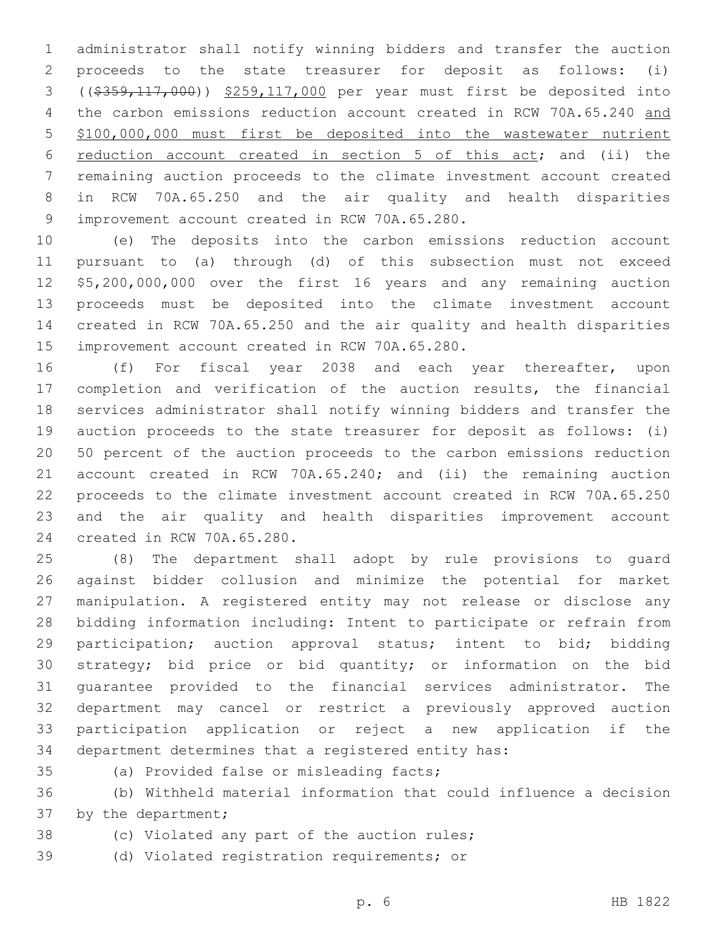administrator shall notify winning bidders and transfer the auction proceeds to the state treasurer for deposit as follows: (i) ((\$359,117,000)) \$259,117,000 per year must first be deposited into the carbon emissions reduction account created in RCW 70A.65.240 and \$100,000,000 must first be deposited into the wastewater nutrient reduction account created in section 5 of this act; and (ii) the remaining auction proceeds to the climate investment account created in RCW 70A.65.250 and the air quality and health disparities 9 improvement account created in RCW 70A.65.280.

 (e) The deposits into the carbon emissions reduction account pursuant to (a) through (d) of this subsection must not exceed \$5,200,000,000 over the first 16 years and any remaining auction proceeds must be deposited into the climate investment account created in RCW 70A.65.250 and the air quality and health disparities 15 improvement account created in RCW 70A.65.280.

16 (f) For fiscal year 2038 and each year thereafter, upon completion and verification of the auction results, the financial services administrator shall notify winning bidders and transfer the auction proceeds to the state treasurer for deposit as follows: (i) 50 percent of the auction proceeds to the carbon emissions reduction account created in RCW 70A.65.240; and (ii) the remaining auction proceeds to the climate investment account created in RCW 70A.65.250 and the air quality and health disparities improvement account 24 created in RCW 70A.65.280.

 (8) The department shall adopt by rule provisions to guard against bidder collusion and minimize the potential for market manipulation. A registered entity may not release or disclose any bidding information including: Intent to participate or refrain from participation; auction approval status; intent to bid; bidding strategy; bid price or bid quantity; or information on the bid guarantee provided to the financial services administrator. The department may cancel or restrict a previously approved auction participation application or reject a new application if the department determines that a registered entity has:

35 (a) Provided false or misleading facts;

 (b) Withheld material information that could influence a decision 37 by the department;

- 
- 38 (c) Violated any part of the auction rules;

(d) Violated registration requirements; or